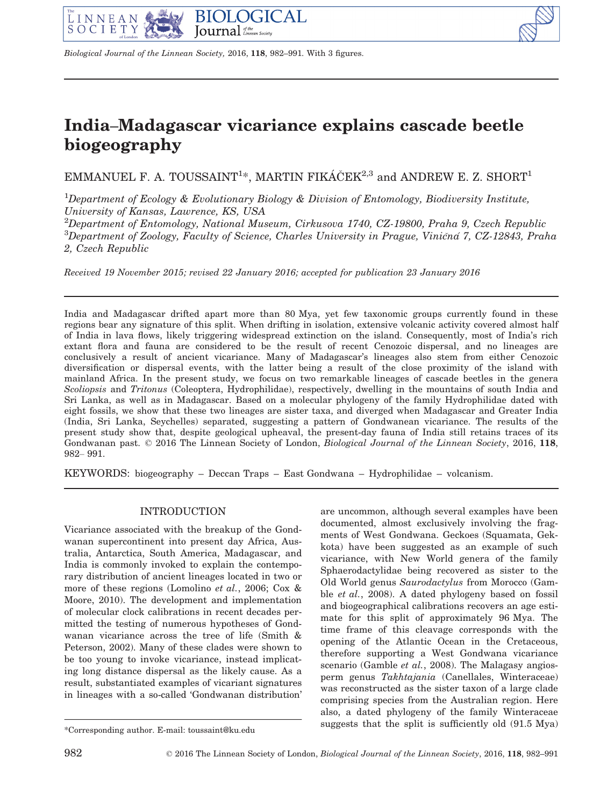



# India–Madagascar vicariance explains cascade beetle biogeography

EMMANUEL F. A. TOUSSAINT<sup>1</sup>\*, MARTIN FIKÁČEK $^{2,3}$  and ANDREW E. Z. SHORT $^1$ 

<sup>1</sup>Department of Ecology & Evolutionary Biology & Division of Entomology, Biodiversity Institute, University of Kansas, Lawrence, KS, USA

 $^{2}$ Department of Entomology, National Museum, Cirkusova 1740, CZ-19800, Praha 9, Czech Republic  $^3$ Department of Zoology, Faculty of Science, Charles University in Prague, Viničná 7, CZ-12843, Praha 2, Czech Republic

Received 19 November 2015; revised 22 January 2016; accepted for publication 23 January 2016

India and Madagascar drifted apart more than 80 Mya, yet few taxonomic groups currently found in these regions bear any signature of this split. When drifting in isolation, extensive volcanic activity covered almost half of India in lava flows, likely triggering widespread extinction on the island. Consequently, most of India's rich extant flora and fauna are considered to be the result of recent Cenozoic dispersal, and no lineages are conclusively a result of ancient vicariance. Many of Madagascar's lineages also stem from either Cenozoic diversification or dispersal events, with the latter being a result of the close proximity of the island with mainland Africa. In the present study, we focus on two remarkable lineages of cascade beetles in the genera Scoliopsis and Tritonus (Coleoptera, Hydrophilidae), respectively, dwelling in the mountains of south India and Sri Lanka, as well as in Madagascar. Based on a molecular phylogeny of the family Hydrophilidae dated with eight fossils, we show that these two lineages are sister taxa, and diverged when Madagascar and Greater India (India, Sri Lanka, Seychelles) separated, suggesting a pattern of Gondwanean vicariance. The results of the present study show that, despite geological upheaval, the present-day fauna of India still retains traces of its Gondwanan past. © 2016 The Linnean Society of London, *Biological Journal of the Linnean Society*, 2016, 118, 982– 991.

KEYWORDS: biogeography – Deccan Traps – East Gondwana – Hydrophilidae – volcanism.

## INTRODUCTION

Vicariance associated with the breakup of the Gondwanan supercontinent into present day Africa, Australia, Antarctica, South America, Madagascar, and India is commonly invoked to explain the contemporary distribution of ancient lineages located in two or more of these regions (Lomolino et al., 2006; Cox & Moore, 2010). The development and implementation of molecular clock calibrations in recent decades permitted the testing of numerous hypotheses of Gondwanan vicariance across the tree of life (Smith & Peterson, 2002). Many of these clades were shown to be too young to invoke vicariance, instead implicating long distance dispersal as the likely cause. As a result, substantiated examples of vicariant signatures in lineages with a so-called 'Gondwanan distribution'

are uncommon, although several examples have been documented, almost exclusively involving the fragments of West Gondwana. Geckoes (Squamata, Gekkota) have been suggested as an example of such vicariance, with New World genera of the family Sphaerodactylidae being recovered as sister to the Old World genus Saurodactylus from Morocco (Gamble et al., 2008). A dated phylogeny based on fossil and biogeographical calibrations recovers an age estimate for this split of approximately 96 Mya. The time frame of this cleavage corresponds with the opening of the Atlantic Ocean in the Cretaceous, therefore supporting a West Gondwana vicariance scenario (Gamble et al., 2008). The Malagasy angiosperm genus Takhtajania (Canellales, Winteraceae) was reconstructed as the sister taxon of a large clade comprising species from the Australian region. Here also, a dated phylogeny of the family Winteraceae suggests that the split is sufficiently old (91.5 Mya) \*Corresponding author. E-mail: [toussaint@ku.edu](mailto:toussaint@ku.edu)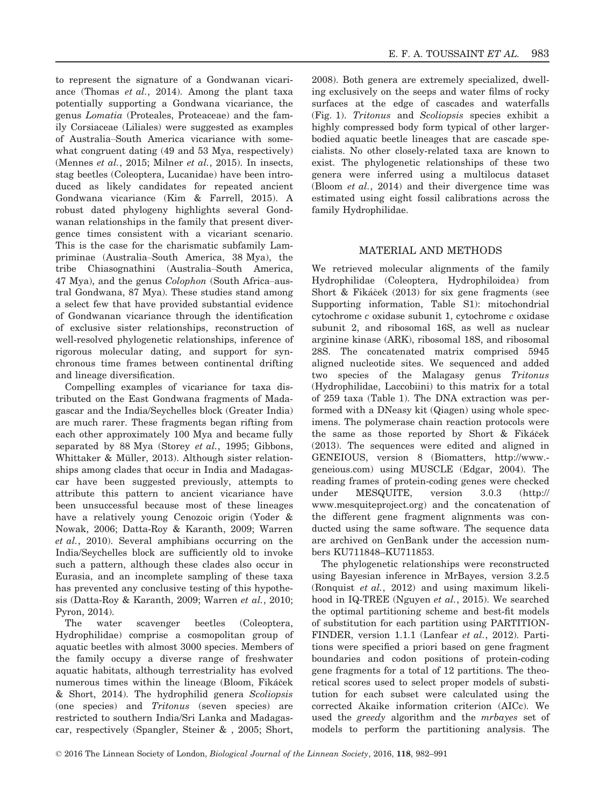to represent the signature of a Gondwanan vicariance (Thomas et al., 2014). Among the plant taxa potentially supporting a Gondwana vicariance, the genus Lomatia (Proteales, Proteaceae) and the family Corsiaceae (Liliales) were suggested as examples of Australia–South America vicariance with somewhat congruent dating (49 and 53 Mya, respectively) (Mennes et al., 2015; Milner et al., 2015). In insects, stag beetles (Coleoptera, Lucanidae) have been introduced as likely candidates for repeated ancient Gondwana vicariance (Kim & Farrell, 2015). A robust dated phylogeny highlights several Gondwanan relationships in the family that present divergence times consistent with a vicariant scenario. This is the case for the charismatic subfamily Lampriminae (Australia–South America, 38 Mya), the tribe Chiasognathini (Australia–South America, 47 Mya), and the genus Colophon (South Africa–austral Gondwana, 87 Mya). These studies stand among a select few that have provided substantial evidence of Gondwanan vicariance through the identification of exclusive sister relationships, reconstruction of well-resolved phylogenetic relationships, inference of rigorous molecular dating, and support for synchronous time frames between continental drifting and lineage diversification.

Compelling examples of vicariance for taxa distributed on the East Gondwana fragments of Madagascar and the India/Seychelles block (Greater India) are much rarer. These fragments began rifting from each other approximately 100 Mya and became fully separated by 88 Mya (Storey et al., 1995; Gibbons, Whittaker & Müller, 2013). Although sister relationships among clades that occur in India and Madagascar have been suggested previously, attempts to attribute this pattern to ancient vicariance have been unsuccessful because most of these lineages have a relatively young Cenozoic origin (Yoder & Nowak, 2006; Datta-Roy & Karanth, 2009; Warren et al., 2010). Several amphibians occurring on the India/Seychelles block are sufficiently old to invoke such a pattern, although these clades also occur in Eurasia, and an incomplete sampling of these taxa has prevented any conclusive testing of this hypothesis (Datta-Roy & Karanth, 2009; Warren et al., 2010; Pyron, 2014).

The water scavenger beetles (Coleoptera, Hydrophilidae) comprise a cosmopolitan group of aquatic beetles with almost 3000 species. Members of the family occupy a diverse range of freshwater aquatic habitats, although terrestriality has evolved numerous times within the lineage (Bloom, Fikáček & Short, 2014). The hydrophilid genera Scoliopsis (one species) and Tritonus (seven species) are restricted to southern India/Sri Lanka and Madagascar, respectively (Spangler, Steiner & , 2005; Short, 2008). Both genera are extremely specialized, dwelling exclusively on the seeps and water films of rocky surfaces at the edge of cascades and waterfalls (Fig. 1). Tritonus and Scoliopsis species exhibit a highly compressed body form typical of other largerbodied aquatic beetle lineages that are cascade specialists. No other closely-related taxa are known to exist. The phylogenetic relationships of these two genera were inferred using a multilocus dataset (Bloom et al., 2014) and their divergence time was estimated using eight fossil calibrations across the family Hydrophilidae.

# MATERIAL AND METHODS

We retrieved molecular alignments of the family Hydrophilidae (Coleoptera, Hydrophiloidea) from Short & Fikáček (2013) for six gene fragments (see Supporting information, Table S1): mitochondrial cytochrome c oxidase subunit 1, cytochrome c oxidase subunit 2, and ribosomal 16S, as well as nuclear arginine kinase (ARK), ribosomal 18S, and ribosomal 28S. The concatenated matrix comprised 5945 aligned nucleotide sites. We sequenced and added two species of the Malagasy genus Tritonus (Hydrophilidae, Laccobiini) to this matrix for a total of 259 taxa (Table 1). The DNA extraction was performed with a DNeasy kit (Qiagen) using whole specimens. The polymerase chain reaction protocols were the same as those reported by Short & Fikacek (2013). The sequences were edited and aligned in GENEIOUS, version 8 (Biomatters, [http://www.](http://www.geneious.com) [geneious.com](http://www.geneious.com)) using MUSCLE (Edgar, 2004). The reading frames of protein-coding genes were checked under MESQUITE, version 3.0.3 [\(http://](http://www.mesquiteproject.org) [www.mesquiteproject.org\)](http://www.mesquiteproject.org) and the concatenation of the different gene fragment alignments was conducted using the same software. The sequence data are archived on GenBank under the accession numbers KU711848–KU711853.

The phylogenetic relationships were reconstructed using Bayesian inference in MrBayes, version 3.2.5 (Ronquist et al., 2012) and using maximum likelihood in IQ-TREE (Nguyen et al., 2015). We searched the optimal partitioning scheme and best-fit models of substitution for each partition using PARTITION-FINDER, version 1.1.1 (Lanfear et al., 2012). Partitions were specified a priori based on gene fragment boundaries and codon positions of protein-coding gene fragments for a total of 12 partitions. The theoretical scores used to select proper models of substitution for each subset were calculated using the corrected Akaike information criterion (AICc). We used the *greedy* algorithm and the *mrbayes* set of models to perform the partitioning analysis. The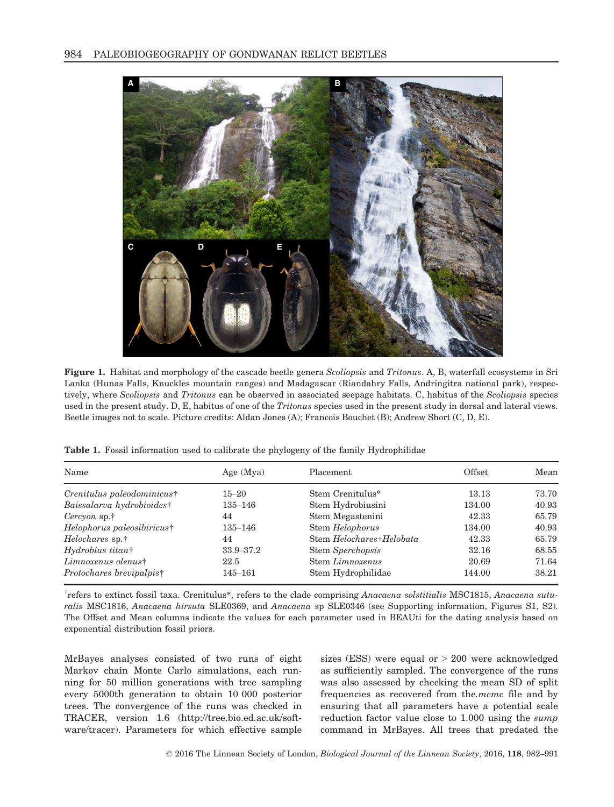

Figure 1. Habitat and morphology of the cascade beetle genera Scoliopsis and Tritonus. A, B, waterfall ecosystems in Sri Lanka (Hunas Falls, Knuckles mountain ranges) and Madagascar (Riandahry Falls, Andringitra national park), respectively, where Scoliopsis and Tritonus can be observed in associated seepage habitats. C, habitus of the Scoliopsis species used in the present study. D, E, habitus of one of the *Tritonus* species used in the present study in dorsal and lateral views. Beetle images not to scale. Picture credits: Aldan Jones (A); Francois Bouchet (B); Andrew Short (C, D, E).

Table 1. Fossil information used to calibrate the phylogeny of the family Hydrophilidae

| Name                         | Age $(Mya)$   | Placement                | Offset | Mean  |
|------------------------------|---------------|--------------------------|--------|-------|
| Crenitulus paleodominicus†   | $15 - 20$     | Stem Crenitulus*         | 13.13  | 73.70 |
| Baissalarva hydrobioides†    | $135 - 146$   | Stem Hydrobiusini        | 134.00 | 40.93 |
| $Cercvon$ sp. <sup>†</sup>   | 44            | Stem Megastenini         | 42.33  | 65.79 |
| Helophorus paleosibiricus†   | $135 - 146$   | Stem Helophorus          | 134.00 | 40.93 |
| Helochares sp. <sup>†</sup>  | 44            | Stem Helochares+Helobata | 42.33  | 65.79 |
| Hydrobius titan <sup>†</sup> | $33.9 - 37.2$ | Stem Sperchopsis         | 32.16  | 68.55 |
| Limnoxenus olenust           | 22.5          | Stem Limnoxenus          | 20.69  | 71.64 |
| Protochares brevipalpist     | $145 - 161$   | Stem Hydrophilidae       | 144.00 | 38.21 |

<sup>†</sup>refers to extinct fossil taxa. Crenitulus\*, refers to the clade comprising Anacaena solstitialis MSC1815, Anacaena suturalis MSC1816, Anacaena hirsuta SLE0369, and Anacaena sp SLE0346 (see Supporting information, Figures S1, S2). The Offset and Mean columns indicate the values for each parameter used in BEAUti for the dating analysis based on exponential distribution fossil priors.

MrBayes analyses consisted of two runs of eight Markov chain Monte Carlo simulations, each running for 50 million generations with tree sampling every 5000th generation to obtain 10 000 posterior trees. The convergence of the runs was checked in TRACER, version 1.6 ([http://tree.bio.ed.ac.uk/soft](http://tree.bio.ed.ac.uk/software/tracer/)[ware/tracer\)](http://tree.bio.ed.ac.uk/software/tracer/). Parameters for which effective sample sizes (ESS) were equal or > 200 were acknowledged as sufficiently sampled. The convergence of the runs was also assessed by checking the mean SD of split frequencies as recovered from the.*mcmc* file and by ensuring that all parameters have a potential scale reduction factor value close to 1.000 using the sump command in MrBayes. All trees that predated the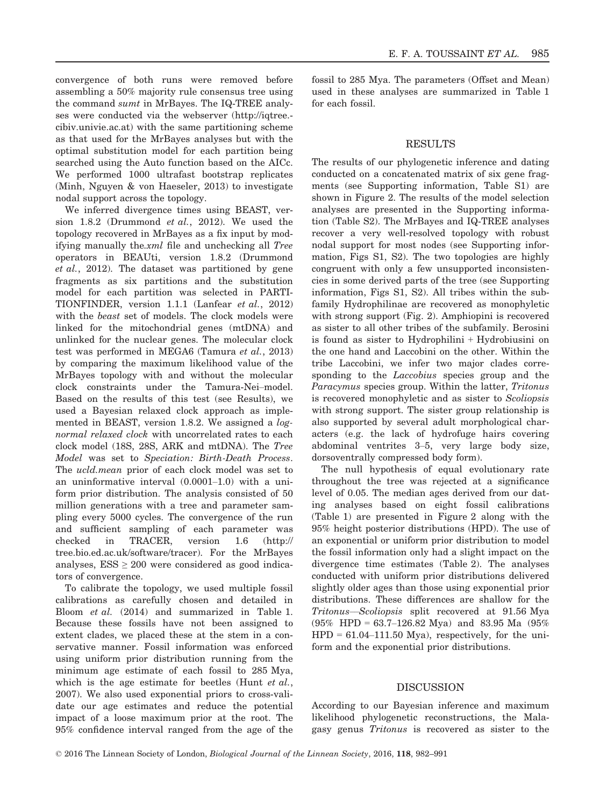convergence of both runs were removed before assembling a 50% majority rule consensus tree using the command sumt in MrBayes. The IQ-TREE analyses were conducted via the webserver ([http://iqtree.](http://iqtree.cibiv.univie.ac.at/) [cibiv.univie.ac.at](http://iqtree.cibiv.univie.ac.at/)) with the same partitioning scheme as that used for the MrBayes analyses but with the optimal substitution model for each partition being searched using the Auto function based on the AICc. We performed 1000 ultrafast bootstrap replicates (Minh, Nguyen & von Haeseler, 2013) to investigate nodal support across the topology.

We inferred divergence times using BEAST, version 1.8.2 (Drummond et al., 2012). We used the topology recovered in MrBayes as a fix input by modifying manually the.xml file and unchecking all Tree operators in BEAUti, version 1.8.2 (Drummond et al., 2012). The dataset was partitioned by gene fragments as six partitions and the substitution model for each partition was selected in PARTI-TIONFINDER, version 1.1.1 (Lanfear et al., 2012) with the beast set of models. The clock models were linked for the mitochondrial genes (mtDNA) and unlinked for the nuclear genes. The molecular clock test was performed in MEGA6 (Tamura et al., 2013) by comparing the maximum likelihood value of the MrBayes topology with and without the molecular clock constraints under the Tamura-Nei–model. Based on the results of this test (see Results), we used a Bayesian relaxed clock approach as implemented in BEAST, version 1.8.2. We assigned a *log*normal relaxed clock with uncorrelated rates to each clock model (18S, 28S, ARK and mtDNA). The Tree Model was set to Speciation: Birth-Death Process. The ucld.mean prior of each clock model was set to an uninformative interval (0.0001–1.0) with a uniform prior distribution. The analysis consisted of 50 million generations with a tree and parameter sampling every 5000 cycles. The convergence of the run and sufficient sampling of each parameter was checked in TRACER, version 1.6 ([http://](http://tree.bio.ed.ac.uk/software/tracer/) [tree.bio.ed.ac.uk/software/tracer](http://tree.bio.ed.ac.uk/software/tracer/)). For the MrBayes analyses,  $ESS \geq 200$  were considered as good indicators of convergence.

To calibrate the topology, we used multiple fossil calibrations as carefully chosen and detailed in Bloom et al. (2014) and summarized in Table 1. Because these fossils have not been assigned to extent clades, we placed these at the stem in a conservative manner. Fossil information was enforced using uniform prior distribution running from the minimum age estimate of each fossil to 285 Mya, which is the age estimate for beetles (Hunt *et al.*, 2007). We also used exponential priors to cross-validate our age estimates and reduce the potential impact of a loose maximum prior at the root. The 95% confidence interval ranged from the age of the E. F. A. TOUSSAINT ET AL. 985

fossil to 285 Mya. The parameters (Offset and Mean) used in these analyses are summarized in Table 1 for each fossil.

## RESULTS

The results of our phylogenetic inference and dating conducted on a concatenated matrix of six gene fragments (see Supporting information, Table S1) are shown in Figure 2. The results of the model selection analyses are presented in the Supporting information (Table S2). The MrBayes and IQ-TREE analyses recover a very well-resolved topology with robust nodal support for most nodes (see Supporting information, Figs S1, S2). The two topologies are highly congruent with only a few unsupported inconsistencies in some derived parts of the tree (see Supporting information, Figs S1, S2). All tribes within the subfamily Hydrophilinae are recovered as monophyletic with strong support (Fig. 2). Amphiopini is recovered as sister to all other tribes of the subfamily. Berosini is found as sister to Hydrophilini  $+$  Hydrobiusini on the one hand and Laccobini on the other. Within the tribe Laccobini, we infer two major clades corresponding to the Laccobius species group and the Paracymus species group. Within the latter, Tritonus is recovered monophyletic and as sister to Scoliopsis with strong support. The sister group relationship is also supported by several adult morphological characters (e.g. the lack of hydrofuge hairs covering abdominal ventrites 3–5, very large body size, dorsoventrally compressed body form).

The null hypothesis of equal evolutionary rate throughout the tree was rejected at a significance level of 0.05. The median ages derived from our dating analyses based on eight fossil calibrations (Table 1) are presented in Figure 2 along with the 95% height posterior distributions (HPD). The use of an exponential or uniform prior distribution to model the fossil information only had a slight impact on the divergence time estimates (Table 2). The analyses conducted with uniform prior distributions delivered slightly older ages than those using exponential prior distributions. These differences are shallow for the Tritonus––Scoliopsis split recovered at 91.56 Mya  $(95\% \text{ HPD} = 63.7 \text{--} 126.82 \text{ Mya})$  and 83.95 Ma  $(95\% \text{--} 126.82 \text{ Mya})$  $HPD = 61.04–111.50$  Mya), respectively, for the uniform and the exponential prior distributions.

# DISCUSSION

According to our Bayesian inference and maximum likelihood phylogenetic reconstructions, the Malagasy genus Tritonus is recovered as sister to the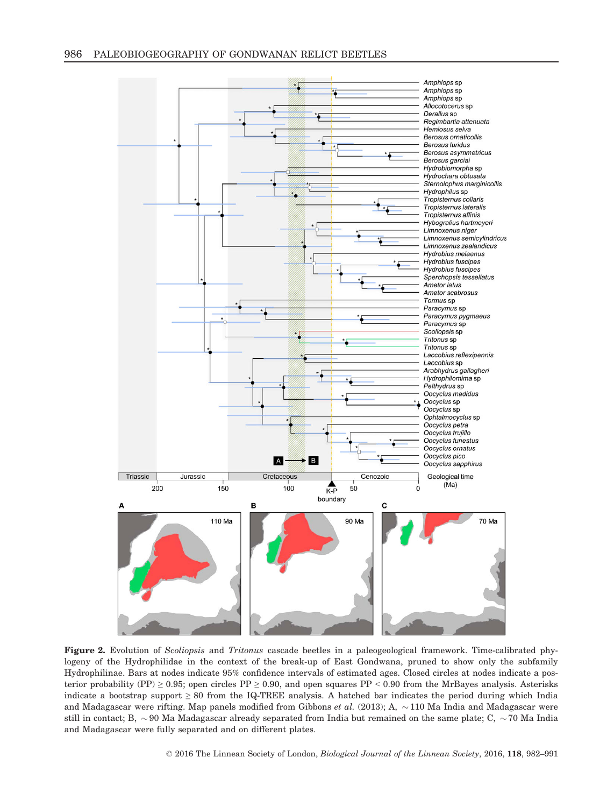

Figure 2. Evolution of Scoliopsis and Tritonus cascade beetles in a paleogeological framework. Time-calibrated phylogeny of the Hydrophilidae in the context of the break-up of East Gondwana, pruned to show only the subfamily Hydrophilinae. Bars at nodes indicate 95% confidence intervals of estimated ages. Closed circles at nodes indicate a posterior probability (PP)  $\geq$  0.95; open circles PP  $\geq$  0.90, and open squares PP < 0.90 from the MrBayes analysis. Asterisks indicate a bootstrap support  $\geq 80$  from the IQ-TREE analysis. A hatched bar indicates the period during which India and Madagascar were rifting. Map panels modified from Gibbons et al. (2013); A,  $\sim$  110 Ma India and Madagascar were still in contact; B,  $\sim$  90 Ma Madagascar already separated from India but remained on the same plate; C,  $\sim$  70 Ma India and Madagascar were fully separated and on different plates.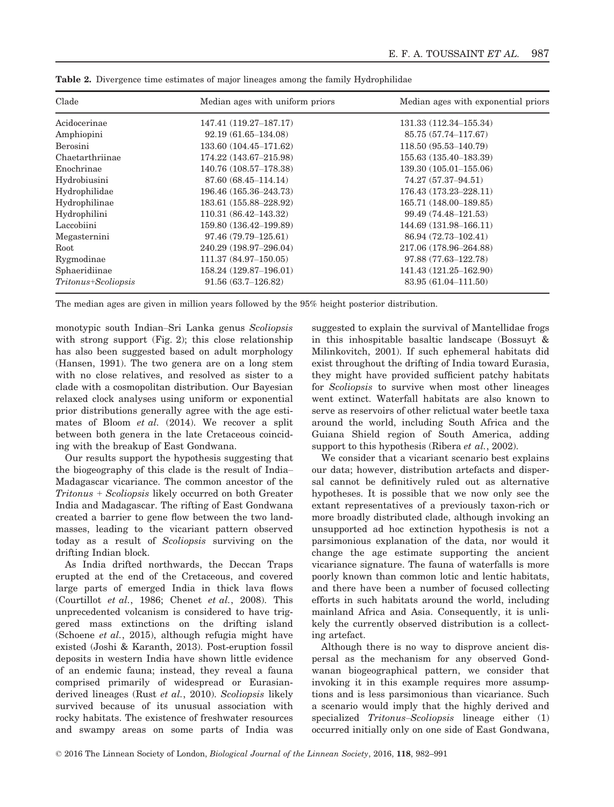| Clade                      | Median ages with uniform priors | Median ages with exponential priors |
|----------------------------|---------------------------------|-------------------------------------|
| Acidocerinae               | 147.41 (119.27-187.17)          | $131.33(112.34 - 155.34)$           |
| Amphiopini                 | $92.19(61.65 - 134.08)$         | 85.75 (57.74-117.67)                |
| Berosini                   | 133.60 (104.45–171.62)          | $118.50(95.53 - 140.79)$            |
| Chaetarthriinae            | 174.22 (143.67-215.98)          | 155.63 (135.40-183.39)              |
| Enochrinae                 | 140.76 (108.57-178.38)          | $139.30(105.01-155.06)$             |
| Hydrobiusini               | $87.60(68.45 - 114.14)$         | 74.27 (57.37-94.51)                 |
| Hydrophilidae              | 196.46 (165.36–243.73)          | 176.43 (173.23-228.11)              |
| Hydrophilinae              | 183.61 (155.88-228.92)          | 165.71 (148.00-189.85)              |
| Hydrophilini               | 110.31 (86.42-143.32)           | 99.49 (74.48-121.53)                |
| Laccobiini                 | 159.80 (136.42-199.89)          | 144.69 (131.98-166.11)              |
| Megasternini               | $97.46(79.79-125.61)$           | 86.94 (72.73-102.41)                |
| Root                       | 240.29 (198.97-296.04)          | 217.06 (178.96-264.88)              |
| Rygmodinae                 | 111.37 (84.97-150.05)           | 97.88 (77.63-122.78)                |
| Sphaeridiinae              | 158.24 (129.87–196.01)          | 141.43 (121.25-162.90)              |
| <i>Tritonus+Scoliopsis</i> | $91.56(63.7-126.82)$            | 83.95 (61.04-111.50)                |

Table 2. Divergence time estimates of major lineages among the family Hydrophilidae

The median ages are given in million years followed by the 95% height posterior distribution.

monotypic south Indian–Sri Lanka genus Scoliopsis with strong support (Fig. 2); this close relationship has also been suggested based on adult morphology (Hansen, 1991). The two genera are on a long stem with no close relatives, and resolved as sister to a clade with a cosmopolitan distribution. Our Bayesian relaxed clock analyses using uniform or exponential prior distributions generally agree with the age estimates of Bloom et al. (2014). We recover a split between both genera in the late Cretaceous coinciding with the breakup of East Gondwana.

Our results support the hypothesis suggesting that the biogeography of this clade is the result of India– Madagascar vicariance. The common ancestor of the Tritonus + Scoliopsis likely occurred on both Greater India and Madagascar. The rifting of East Gondwana created a barrier to gene flow between the two landmasses, leading to the vicariant pattern observed today as a result of Scoliopsis surviving on the drifting Indian block.

As India drifted northwards, the Deccan Traps erupted at the end of the Cretaceous, and covered large parts of emerged India in thick lava flows (Courtillot et al., 1986; Chenet et al., 2008). This unprecedented volcanism is considered to have triggered mass extinctions on the drifting island (Schoene et al., 2015), although refugia might have existed (Joshi & Karanth, 2013). Post-eruption fossil deposits in western India have shown little evidence of an endemic fauna; instead, they reveal a fauna comprised primarily of widespread or Eurasianderived lineages (Rust et al., 2010). Scoliopsis likely survived because of its unusual association with rocky habitats. The existence of freshwater resources and swampy areas on some parts of India was suggested to explain the survival of Mantellidae frogs in this inhospitable basaltic landscape (Bossuyt & Milinkovitch, 2001). If such ephemeral habitats did exist throughout the drifting of India toward Eurasia, they might have provided sufficient patchy habitats for Scoliopsis to survive when most other lineages went extinct. Waterfall habitats are also known to serve as reservoirs of other relictual water beetle taxa around the world, including South Africa and the Guiana Shield region of South America, adding support to this hypothesis (Ribera *et al.*, 2002).

We consider that a vicariant scenario best explains our data; however, distribution artefacts and dispersal cannot be definitively ruled out as alternative hypotheses. It is possible that we now only see the extant representatives of a previously taxon-rich or more broadly distributed clade, although invoking an unsupported ad hoc extinction hypothesis is not a parsimonious explanation of the data, nor would it change the age estimate supporting the ancient vicariance signature. The fauna of waterfalls is more poorly known than common lotic and lentic habitats, and there have been a number of focused collecting efforts in such habitats around the world, including mainland Africa and Asia. Consequently, it is unlikely the currently observed distribution is a collecting artefact.

Although there is no way to disprove ancient dispersal as the mechanism for any observed Gondwanan biogeographical pattern, we consider that invoking it in this example requires more assumptions and is less parsimonious than vicariance. Such a scenario would imply that the highly derived and specialized Tritonus–Scoliopsis lineage either (1) occurred initially only on one side of East Gondwana,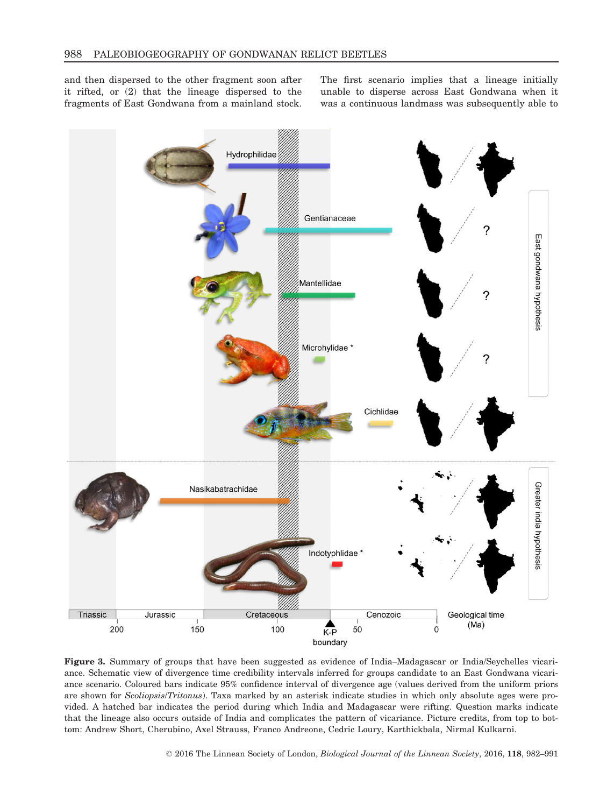and then dispersed to the other fragment soon after it rifted, or (2) that the lineage dispersed to the fragments of East Gondwana from a mainland stock.

The first scenario implies that a lineage initially unable to disperse across East Gondwana when it was a continuous landmass was subsequently able to



Figure 3. Summary of groups that have been suggested as evidence of India–Madagascar or India/Seychelles vicariance. Schematic view of divergence time credibility intervals inferred for groups candidate to an East Gondwana vicariance scenario. Coloured bars indicate 95% confidence interval of divergence age (values derived from the uniform priors are shown for Scoliopsis/Tritonus). Taxa marked by an asterisk indicate studies in which only absolute ages were provided. A hatched bar indicates the period during which India and Madagascar were rifting. Question marks indicate that the lineage also occurs outside of India and complicates the pattern of vicariance. Picture credits, from top to bottom: Andrew Short, Cherubino, Axel Strauss, Franco Andreone, Cedric Loury, Karthickbala, Nirmal Kulkarni.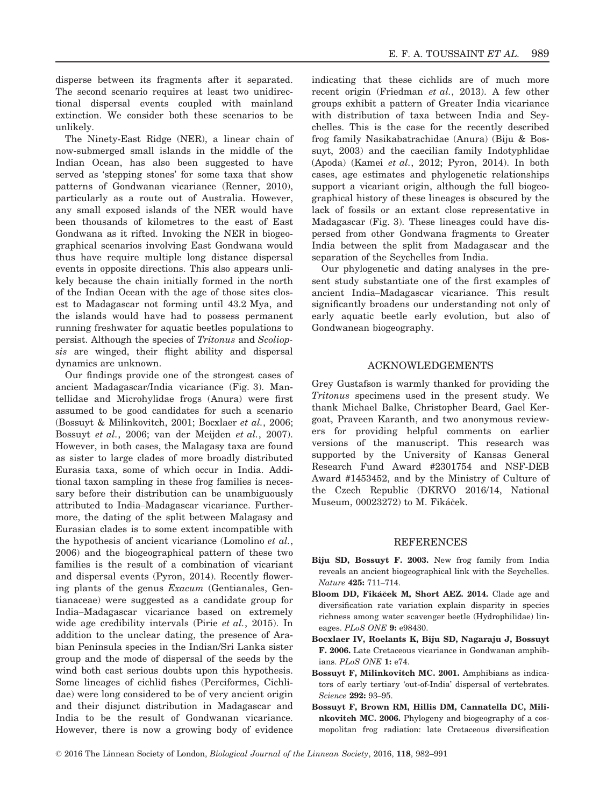disperse between its fragments after it separated. The second scenario requires at least two unidirectional dispersal events coupled with mainland extinction. We consider both these scenarios to be unlikely.

The Ninety-East Ridge (NER), a linear chain of now-submerged small islands in the middle of the Indian Ocean, has also been suggested to have served as 'stepping stones' for some taxa that show patterns of Gondwanan vicariance (Renner, 2010), particularly as a route out of Australia. However, any small exposed islands of the NER would have been thousands of kilometres to the east of East Gondwana as it rifted. Invoking the NER in biogeographical scenarios involving East Gondwana would thus have require multiple long distance dispersal events in opposite directions. This also appears unlikely because the chain initially formed in the north of the Indian Ocean with the age of those sites closest to Madagascar not forming until 43.2 Mya, and the islands would have had to possess permanent running freshwater for aquatic beetles populations to persist. Although the species of Tritonus and Scoliopsis are winged, their flight ability and dispersal dynamics are unknown.

Our findings provide one of the strongest cases of ancient Madagascar/India vicariance (Fig. 3). Mantellidae and Microhylidae frogs (Anura) were first assumed to be good candidates for such a scenario (Bossuyt & Milinkovitch, 2001; Bocxlaer et al., 2006; Bossuyt et al., 2006; van der Meijden et al., 2007). However, in both cases, the Malagasy taxa are found as sister to large clades of more broadly distributed Eurasia taxa, some of which occur in India. Additional taxon sampling in these frog families is necessary before their distribution can be unambiguously attributed to India–Madagascar vicariance. Furthermore, the dating of the split between Malagasy and Eurasian clades is to some extent incompatible with the hypothesis of ancient vicariance (Lomolino et al., 2006) and the biogeographical pattern of these two families is the result of a combination of vicariant and dispersal events (Pyron, 2014). Recently flowering plants of the genus Exacum (Gentianales, Gentianaceae) were suggested as a candidate group for India–Madagascar vicariance based on extremely wide age credibility intervals (Pirie *et al.*, 2015). In addition to the unclear dating, the presence of Arabian Peninsula species in the Indian/Sri Lanka sister group and the mode of dispersal of the seeds by the wind both cast serious doubts upon this hypothesis. Some lineages of cichlid fishes (Perciformes, Cichlidae) were long considered to be of very ancient origin and their disjunct distribution in Madagascar and India to be the result of Gondwanan vicariance. However, there is now a growing body of evidence indicating that these cichlids are of much more recent origin (Friedman et al., 2013). A few other groups exhibit a pattern of Greater India vicariance with distribution of taxa between India and Seychelles. This is the case for the recently described frog family Nasikabatrachidae (Anura) (Biju & Bossuyt, 2003) and the caecilian family Indotyphlidae (Apoda) (Kamei et al., 2012; Pyron, 2014). In both cases, age estimates and phylogenetic relationships support a vicariant origin, although the full biogeographical history of these lineages is obscured by the lack of fossils or an extant close representative in Madagascar (Fig. 3). These lineages could have dispersed from other Gondwana fragments to Greater India between the split from Madagascar and the separation of the Seychelles from India.

Our phylogenetic and dating analyses in the present study substantiate one of the first examples of ancient India–Madagascar vicariance. This result significantly broadens our understanding not only of early aquatic beetle early evolution, but also of Gondwanean biogeography.

#### ACKNOWLEDGEMENTS

Grey Gustafson is warmly thanked for providing the Tritonus specimens used in the present study. We thank Michael Balke, Christopher Beard, Gael Kergoat, Praveen Karanth, and two anonymous reviewers for providing helpful comments on earlier versions of the manuscript. This research was supported by the University of Kansas General Research Fund Award #2301754 and NSF-DEB Award #1453452, and by the Ministry of Culture of the Czech Republic (DKRVO 2016/14, National Museum, 00023272) to M. Fikacek.

#### REFERENCES

- Biju SD, Bossuyt F. 2003. New frog family from India reveals an ancient biogeographical link with the Seychelles. Nature 425: 711–714.
- Bloom DD, Fikáček M, Short AEZ. 2014. Clade age and diversification rate variation explain disparity in species richness among water scavenger beetle (Hydrophilidae) lineages. PLoS ONE 9: e98430.
- Bocxlaer IV, Roelants K, Biju SD, Nagaraju J, Bossuyt F. 2006. Late Cretaceous vicariance in Gondwanan amphibians. PLoS ONE 1: e74.
- Bossuyt F, Milinkovitch MC. 2001. Amphibians as indicators of early tertiary 'out-of-India' dispersal of vertebrates. Science 292: 93-95.
- Bossuyt F, Brown RM, Hillis DM, Cannatella DC, Milinkovitch MC. 2006. Phylogeny and biogeography of a cosmopolitan frog radiation: late Cretaceous diversification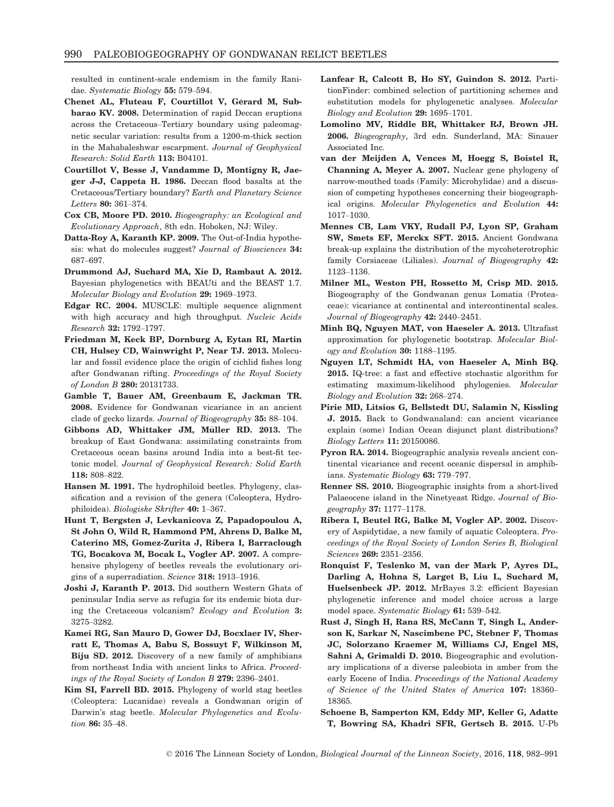resulted in continent-scale endemism in the family Ranidae. Systematic Biology 55: 579–594.

- Chenet AL, Fluteau F, Courtillot V, Gérard M, Subbarao KV. 2008. Determination of rapid Deccan eruptions across the Cretaceous–Tertiary boundary using paleomagnetic secular variation: results from a 1200-m-thick section in the Mahabaleshwar escarpment. Journal of Geophysical Research: Solid Earth 113: B04101.
- Courtillot V, Besse J, Vandamme D, Montigny R, Jaeger J-J, Cappeta H. 1986. Deccan flood basalts at the Cretaceous/Tertiary boundary? Earth and Planetary Science Letters 80: 361–374.
- Cox CB, Moore PD. 2010. Biogeography: an Ecological and Evolutionary Approach, 8th edn. Hoboken, NJ: Wiley.
- Datta-Roy A, Karanth KP. 2009. The Out-of-India hypothesis: what do molecules suggest? Journal of Biosciences 34: 687–697.
- Drummond AJ, Suchard MA, Xie D, Rambaut A. 2012. Bayesian phylogenetics with BEAUti and the BEAST 1.7. Molecular Biology and Evolution 29: 1969–1973.
- Edgar RC. 2004. MUSCLE: multiple sequence alignment with high accuracy and high throughput. Nucleic Acids Research 32: 1792–1797.
- Friedman M, Keck BP, Dornburg A, Eytan RI, Martin CH, Hulsey CD, Wainwright P, Near TJ. 2013. Molecular and fossil evidence place the origin of cichlid fishes long after Gondwanan rifting. Proceedings of the Royal Society of London B 280: 20131733.
- Gamble T, Bauer AM, Greenbaum E, Jackman TR. 2008. Evidence for Gondwanan vicariance in an ancient clade of gecko lizards. Journal of Biogeography 35: 88–104.
- Gibbons AD, Whittaker JM, Müller RD. 2013. The breakup of East Gondwana: assimilating constraints from Cretaceous ocean basins around India into a best-fit tectonic model. Journal of Geophysical Research: Solid Earth 118: 808–822.
- Hansen M. 1991. The hydrophiloid beetles. Phylogeny, classification and a revision of the genera (Coleoptera, Hydrophiloidea). Biologiske Skrifter 40: 1–367.
- Hunt T, Bergsten J, Levkanicova Z, Papadopoulou A, St John O, Wild R, Hammond PM, Ahrens D, Balke M, Caterino MS, Gomez-Zurita J, Ribera I, Barraclough TG, Bocakova M, Bocak L, Vogler AP. 2007. A comprehensive phylogeny of beetles reveals the evolutionary origins of a superradiation. Science 318: 1913–1916.
- Joshi J, Karanth P. 2013. Did southern Western Ghats of peninsular India serve as refugia for its endemic biota during the Cretaceous volcanism? Ecology and Evolution 3: 3275–3282.
- Kamei RG, San Mauro D, Gower DJ, Bocxlaer IV, Sherratt E, Thomas A, Babu S, Bossuyt F, Wilkinson M, Biju SD. 2012. Discovery of a new family of amphibians from northeast India with ancient links to Africa. Proceedings of the Royal Society of London B 279: 2396–2401.
- Kim SI, Farrell BD. 2015. Phylogeny of world stag beetles (Coleoptera: Lucanidae) reveals a Gondwanan origin of Darwin's stag beetle. Molecular Phylogenetics and Evolution 86: 35–48.
- Lanfear R, Calcott B, Ho SY, Guindon S. 2012. PartitionFinder: combined selection of partitioning schemes and substitution models for phylogenetic analyses. Molecular Biology and Evolution 29: 1695–1701.
- Lomolino MV, Riddle BR, Whittaker RJ, Brown JH. 2006. Biogeography, 3rd edn. Sunderland, MA: Sinauer Associated Inc.
- van der Meijden A, Vences M, Hoegg S, Boistel R, Channing A, Meyer A. 2007. Nuclear gene phylogeny of narrow-mouthed toads (Family: Microhylidae) and a discussion of competing hypotheses concerning their biogeographical origins. Molecular Phylogenetics and Evolution 44: 1017–1030.
- Mennes CB, Lam VKY, Rudall PJ, Lyon SP, Graham SW, Smets EF, Merckx SFT. 2015. Ancient Gondwana break-up explains the distribution of the mycoheterotrophic family Corsiaceae (Liliales). Journal of Biogeography 42: 1123–1136.
- Milner ML, Weston PH, Rossetto M, Crisp MD. 2015. Biogeography of the Gondwanan genus Lomatia (Proteaceae): vicariance at continental and intercontinental scales. Journal of Biogeography 42: 2440–2451.
- Minh BQ, Nguyen MAT, von Haeseler A. 2013. Ultrafast approximation for phylogenetic bootstrap. Molecular Biology and Evolution 30: 1188–1195.
- Nguyen LT, Schmidt HA, von Haeseler A, Minh BQ. 2015. IQ-tree: a fast and effective stochastic algorithm for estimating maximum-likelihood phylogenies. Molecular Biology and Evolution 32: 268–274.
- Pirie MD, Litsios G, Bellstedt DU, Salamin N, Kissling J. 2015. Back to Gondwanaland: can ancient vicariance explain (some) Indian Ocean disjunct plant distributions? Biology Letters 11: 20150086.
- Pyron RA. 2014. Biogeographic analysis reveals ancient continental vicariance and recent oceanic dispersal in amphibians. Systematic Biology 63: 779–797.
- Renner SS. 2010. Biogeographic insights from a short-lived Palaeocene island in the Ninetyeast Ridge. Journal of Biogeography 37: 1177–1178.
- Ribera I, Beutel RG, Balke M, Vogler AP. 2002. Discovery of Aspidytidae, a new family of aquatic Coleoptera. Proceedings of the Royal Society of London Series B, Biological Sciences 269: 2351–2356.
- Ronquist F, Teslenko M, van der Mark P, Ayres DL, Darling A, Hohna S, Larget B, Liu L, Suchard M, Huelsenbeck JP. 2012. MrBayes 3.2: efficient Bayesian phylogenetic inference and model choice across a large model space. Systematic Biology 61: 539–542.
- Rust J, Singh H, Rana RS, McCann T, Singh L, Anderson K, Sarkar N, Nascimbene PC, Stebner F, Thomas JC, Solorzano Kraemer M, Williams CJ, Engel MS, Sahni A, Grimaldi D. 2010. Biogeographic and evolutionary implications of a diverse paleobiota in amber from the early Eocene of India. Proceedings of the National Academy of Science of the United States of America 107: 18360– 18365.
- Schoene B, Samperton KM, Eddy MP, Keller G, Adatte T, Bowring SA, Khadri SFR, Gertsch B. 2015. U-Pb